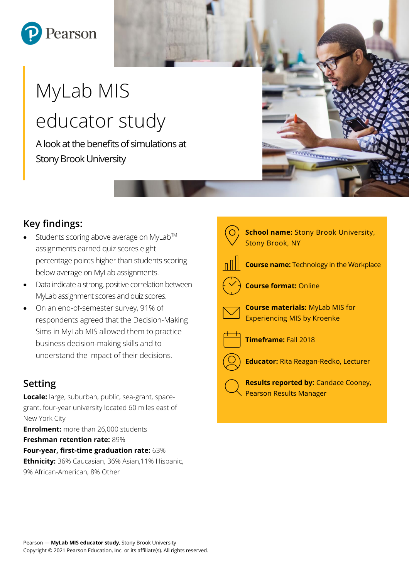

# MyLab MIS educator study

A look at the benefits of simulations at Stony Brook University

## **Key findings:**

- Students scoring above average on MyLab™ assignments earned quiz scores eight percentage points higher than students scoring below average on MyLab assignments.
- Data indicate a strong, positive correlation between MyLab assignment scores and quiz scores.
- On an end-of-semester survey, 91% of respondents agreed that the Decision-Making Sims in MyLab MIS allowed them to practice business decision-making skills and to understand the impact of their decisions.

## **Setting**

**Locale:** large, suburban, public, sea-grant, spacegrant, four-year university located 60 miles east of New York City

**Enrolment:** more than 26,000 students **Freshman retention rate:** 89% **Four-year, first-time graduation rate:** 63% **Ethnicity:** 36% Caucasian, 36% Asian,11% Hispanic,

9% African-American, 8% Other

| <b>School name: Stony Brook University,</b><br><b>Stony Brook, NY</b>         |
|-------------------------------------------------------------------------------|
| <b>Course name:</b> Technology in the Workplace                               |
| <b>Course format: Online</b>                                                  |
| <b>Course materials: MyLab MIS for</b><br><b>Experiencing MIS by Kroenke</b>  |
| Timeframe: Fall 2018                                                          |
| <b>Educator: Rita Reagan-Redko, Lecturer</b>                                  |
| <b>Results reported by: Candace Cooney,</b><br><b>Pearson Results Manager</b> |

*<u>Montanant</u>*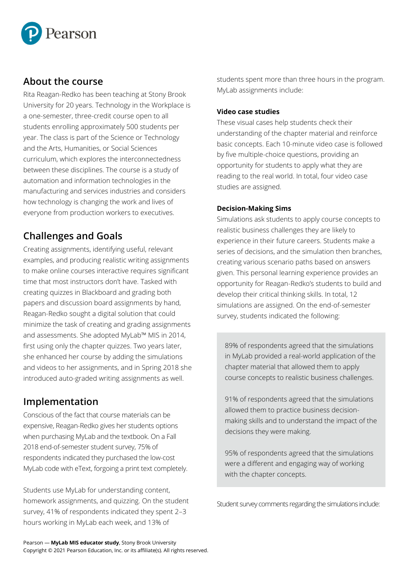

### **About the course**

Rita Reagan-Redko has been teaching at Stony Brook University for 20 years. Technology in the Workplace is a one-semester, three-credit course open to all students enrolling approximately 500 students per year. The class is part of the Science or Technology and the Arts, Humanities, or Social Sciences curriculum, which explores the interconnectedness between these disciplines. The course is a study of automation and information technologies in the manufacturing and services industries and considers how technology is changing the work and lives of everyone from production workers to executives.

## **Challenges and Goals**

Creating assignments, identifying useful, relevant examples, and producing realistic writing assignments to make online courses interactive requires significant time that most instructors don't have. Tasked with creating quizzes in Blackboard and grading both papers and discussion board assignments by hand, Reagan-Redko sought a digital solution that could minimize the task of creating and grading assignments and assessments. She adopted MyLab™ MIS in 2014, first using only the chapter quizzes. Two years later, she enhanced her course by adding the simulations and videos to her assignments, and in Spring 2018 she introduced auto-graded writing assignments as well.

## **Implementation**

Conscious of the fact that course materials can be expensive, Reagan-Redko gives her students options when purchasing MyLab and the textbook. On a Fall 2018 end-of-semester student survey, 75% of respondents indicated they purchased the low-cost MyLab code with eText, forgoing a print text completely.

Students use MyLab for understanding content, homework assignments, and quizzing. On the student survey, 41% of respondents indicated they spent 2–3 hours working in MyLab each week, and 13% of

students spent more than three hours in the program. MyLab assignments include:

#### **Video case studies**

These visual cases help students check their understanding of the chapter material and reinforce basic concepts. Each 10-minute video case is followed by five multiple-choice questions, providing an opportunity for students to apply what they are reading to the real world. In total, four video case studies are assigned.

#### **Decision-Making Sims**

Simulations ask students to apply course concepts to realistic business challenges they are likely to experience in their future careers. Students make a series of decisions, and the simulation then branches, creating various scenario paths based on answers given. This personal learning experience provides an opportunity for Reagan-Redko's students to build and develop their critical thinking skills. In total, 12 simulations are assigned. On the end-of-semester survey, students indicated the following:

89% of respondents agreed that the simulations in MyLab provided a real-world application of the chapter material that allowed them to apply course concepts to realistic business challenges.

91% of respondents agreed that the simulations allowed them to practice business decisionmaking skills and to understand the impact of the decisions they were making.

95% of respondents agreed that the simulations were a different and engaging way of working with the chapter concepts.

Student survey comments regarding the simulations include: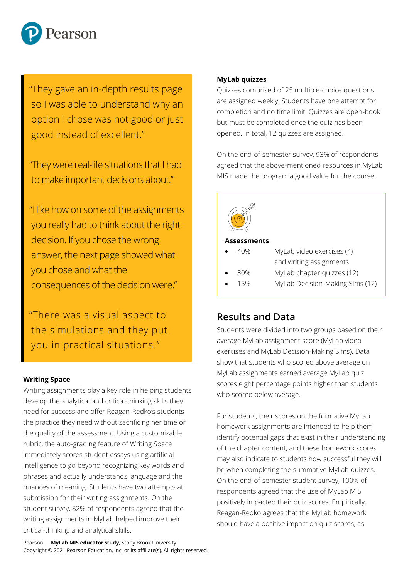

"They gave an in-depth results page so I was able to understand why an option I chose was not good or just good instead of excellent."

"They were real-life situations that I had to make important decisions about."

"I like how on some of the assignments you really had to think about the right decision. If you chose the wrong answer, the next page showed what you chose and what the consequences of the decision were."

"There was a visual aspect to the simulations and they put you in practical situations."

## **Writing Space**

Writing assignments play a key role in helping students develop the analytical and critical-thinking skills they need for success and offer Reagan-Redko's students the practice they need without sacrificing her time or the quality of the assessment. Using a customizable rubric, the auto-grading feature of Writing Space immediately scores student essays using artificial intelligence to go beyond recognizing key words and phrases and actually understands language and the nuances of meaning. Students have two attempts at submission for their writing assignments. On the student survey, 82% of respondents agreed that the writing assignments in MyLab helped improve their critical-thinking and analytical skills.

#### **MyLab quizzes**

Quizzes comprised of 25 multiple-choice questions are assigned weekly. Students have one attempt for completion and no time limit. Quizzes are open-book but must be completed once the quiz has been opened. In total, 12 quizzes are assigned.

On the end-of-semester survey, 93% of respondents agreed that the above-mentioned resources in MyLab MIS made the program a good value for the course.



#### **Assessments**

- 40% MyLab video exercises (4) and writing assignments
- 30% MyLab chapter quizzes (12)
	- 15% MyLab Decision-Making Sims (12)

#### **Results and Data**

Students were divided into two groups based on their average MyLab assignment score (MyLab video exercises and MyLab Decision-Making Sims). Data show that students who scored above average on MyLab assignments earned average MyLab quiz scores eight percentage points higher than students who scored below average.

For students, their scores on the formative MyLab homework assignments are intended to help them identify potential gaps that exist in their understanding of the chapter content, and these homework scores may also indicate to students how successful they will be when completing the summative MyLab quizzes. On the end-of-semester student survey, 100% of respondents agreed that the use of MyLab MIS positively impacted their quiz scores. Empirically, Reagan-Redko agrees that the MyLab homework should have a positive impact on quiz scores, as